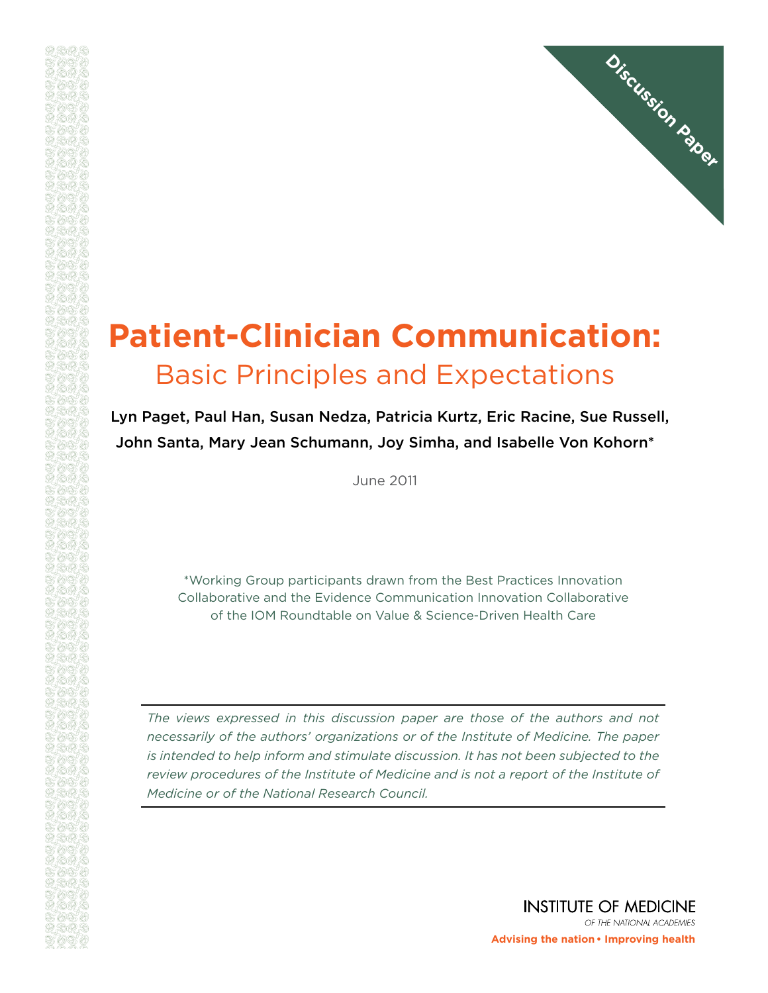

# **Patient-Clinician Communication:**  Basic Principles and Expectations

Lyn Paget, Paul Han, Susan Nedza, Patricia Kurtz, Eric Racine, Sue Russell, John Santa, Mary Jean Schumann, Joy Simha, and Isabelle Von Kohorn\*

June 2011

\*Working Group participants drawn from the Best Practices Innovation Collaborative and the Evidence Communication Innovation Collaborative of the IOM Roundtable on Value & Science-Driven Health Care

*The views expressed in this discussion paper are those of the authors and not necessarily of the authors' organizations or of the Institute of Medicine. The paper is intended to help inform and stimulate discussion. It has not been subjected to the review procedures of the Institute of Medicine and is not a report of the Institute of Medicine or of the National Research Council.*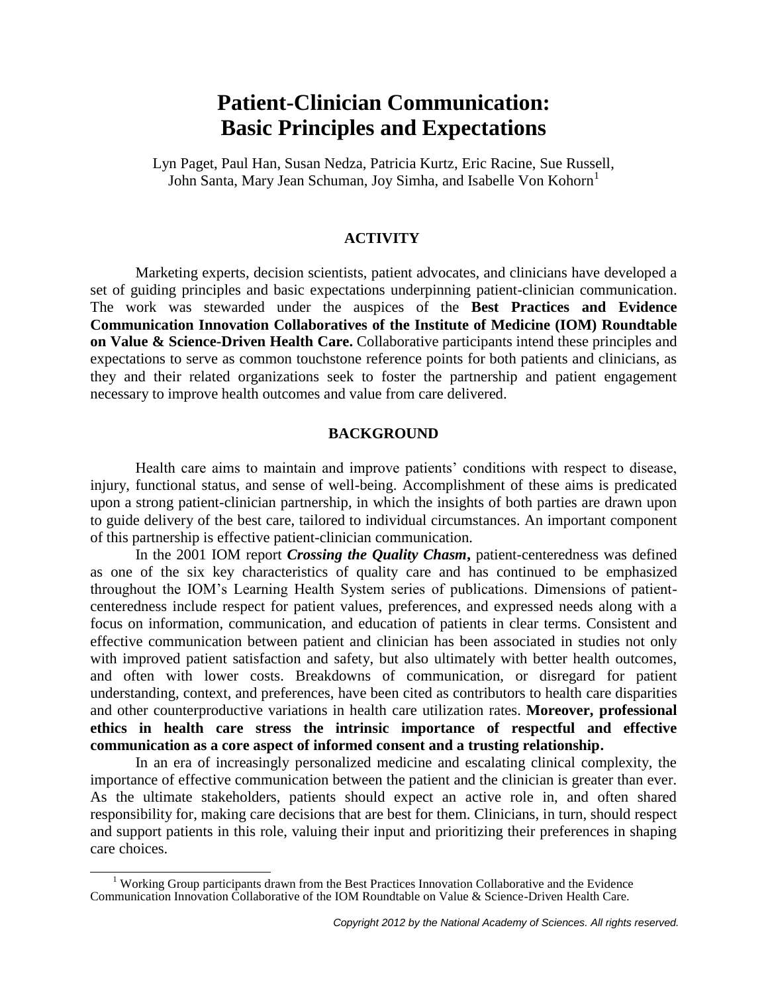## **Patient-Clinician Communication: Basic Principles and Expectations**

Lyn Paget, Paul Han, Susan Nedza, Patricia Kurtz, Eric Racine, Sue Russell, John Santa, Mary Jean Schuman, Joy Simha, and Isabelle Von Kohorn<sup>1</sup>

#### **ACTIVITY**

Marketing experts, decision scientists, patient advocates, and clinicians have developed a set of guiding principles and basic expectations underpinning patient-clinician communication. The work was stewarded under the auspices of the **Best Practices and Evidence Communication Innovation Collaboratives of the Institute of Medicine (IOM) Roundtable on Value & Science-Driven Health Care.** Collaborative participants intend these principles and expectations to serve as common touchstone reference points for both patients and clinicians, as they and their related organizations seek to foster the partnership and patient engagement necessary to improve health outcomes and value from care delivered.

#### **BACKGROUND**

Health care aims to maintain and improve patients' conditions with respect to disease, injury, functional status, and sense of well-being. Accomplishment of these aims is predicated upon a strong patient-clinician partnership, in which the insights of both parties are drawn upon to guide delivery of the best care, tailored to individual circumstances. An important component of this partnership is effective patient-clinician communication.

In the 2001 IOM report *Crossing the Quality Chasm***,** patient-centeredness was defined as one of the six key characteristics of quality care and has continued to be emphasized throughout the IOM's Learning Health System series of publications. Dimensions of patientcenteredness include respect for patient values, preferences, and expressed needs along with a focus on information, communication, and education of patients in clear terms. Consistent and effective communication between patient and clinician has been associated in studies not only with improved patient satisfaction and safety, but also ultimately with better health outcomes, and often with lower costs. Breakdowns of communication, or disregard for patient understanding, context, and preferences, have been cited as contributors to health care disparities and other counterproductive variations in health care utilization rates. **Moreover, professional ethics in health care stress the intrinsic importance of respectful and effective communication as a core aspect of informed consent and a trusting relationship.**

In an era of increasingly personalized medicine and escalating clinical complexity, the importance of effective communication between the patient and the clinician is greater than ever. As the ultimate stakeholders, patients should expect an active role in, and often shared responsibility for, making care decisions that are best for them. Clinicians, in turn, should respect and support patients in this role, valuing their input and prioritizing their preferences in shaping care choices.

 $\overline{a}$ 

<sup>&</sup>lt;sup>1</sup> Working Group participants drawn from the Best Practices Innovation Collaborative and the Evidence Communication Innovation Collaborative of the IOM Roundtable on Value & Science-Driven Health Care.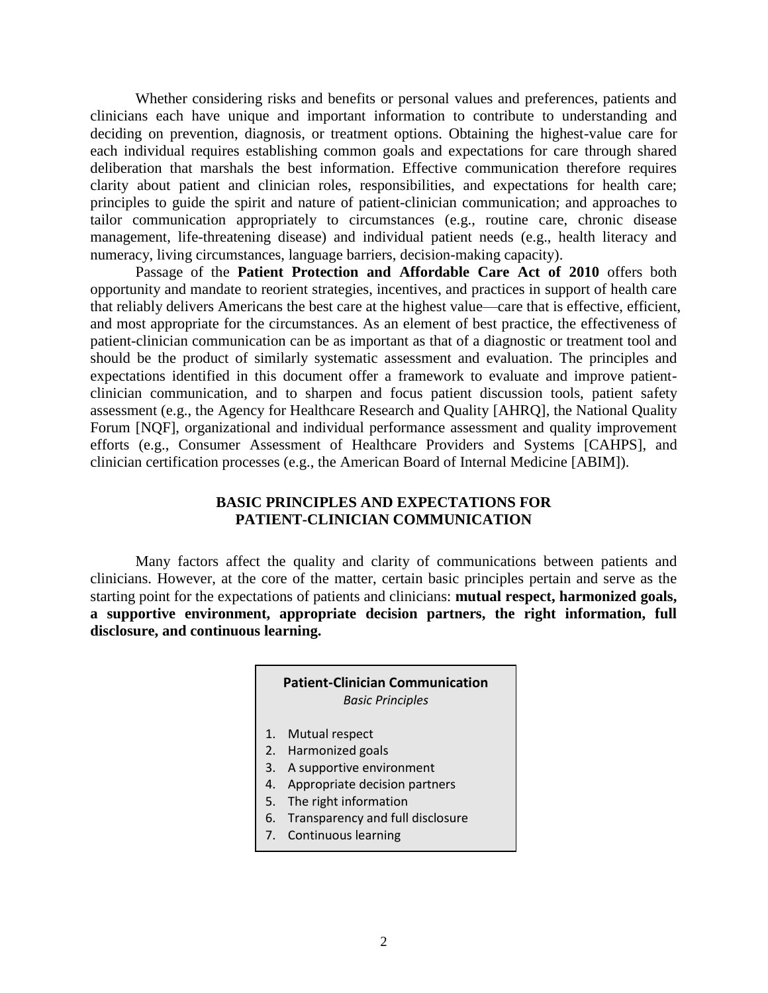Whether considering risks and benefits or personal values and preferences, patients and clinicians each have unique and important information to contribute to understanding and deciding on prevention, diagnosis, or treatment options. Obtaining the highest-value care for each individual requires establishing common goals and expectations for care through shared deliberation that marshals the best information. Effective communication therefore requires clarity about patient and clinician roles, responsibilities, and expectations for health care; principles to guide the spirit and nature of patient-clinician communication; and approaches to tailor communication appropriately to circumstances (e.g., routine care, chronic disease management, life-threatening disease) and individual patient needs (e.g., health literacy and numeracy, living circumstances, language barriers, decision-making capacity).

Passage of the **Patient Protection and Affordable Care Act of 2010** offers both opportunity and mandate to reorient strategies, incentives, and practices in support of health care that reliably delivers Americans the best care at the highest value—care that is effective, efficient, and most appropriate for the circumstances. As an element of best practice, the effectiveness of patient-clinician communication can be as important as that of a diagnostic or treatment tool and should be the product of similarly systematic assessment and evaluation. The principles and expectations identified in this document offer a framework to evaluate and improve patientclinician communication, and to sharpen and focus patient discussion tools, patient safety assessment (e.g., the Agency for Healthcare Research and Quality [AHRQ], the National Quality Forum [NQF], organizational and individual performance assessment and quality improvement efforts (e.g., Consumer Assessment of Healthcare Providers and Systems [CAHPS], and clinician certification processes (e.g., the American Board of Internal Medicine [ABIM]).

## **BASIC PRINCIPLES AND EXPECTATIONS FOR PATIENT-CLINICIAN COMMUNICATION**

Many factors affect the quality and clarity of communications between patients and clinicians. However, at the core of the matter, certain basic principles pertain and serve as the starting point for the expectations of patients and clinicians: **mutual respect, harmonized goals, a supportive environment, appropriate decision partners, the right information, full disclosure, and continuous learning.**

#### **Patient-Clinician Communication** *Basic Principles*

- 1. Mutual respect
- 2. Harmonized goals
- 3. A supportive environment
- 4. Appropriate decision partners
- 5. The right information
- 6. Transparency and full disclosure
- 7. Continuous learning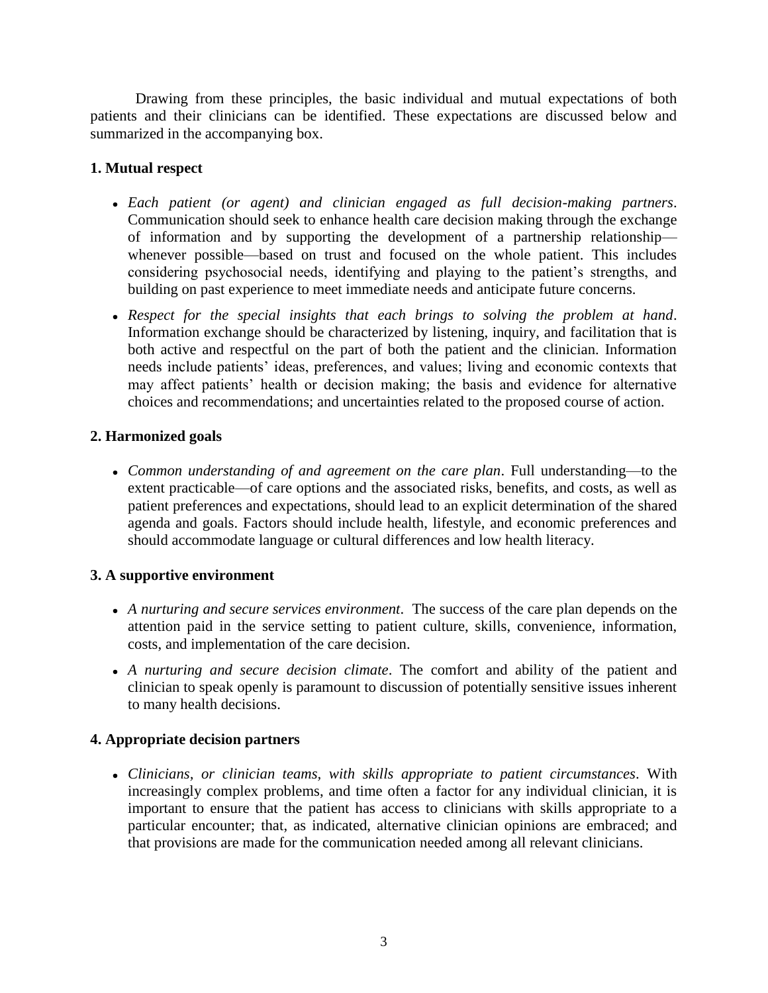Drawing from these principles, the basic individual and mutual expectations of both patients and their clinicians can be identified. These expectations are discussed below and summarized in the accompanying box.

## **1. Mutual respect**

- *Each patient (or agent) and clinician engaged as full decision-making partners*. Communication should seek to enhance health care decision making through the exchange of information and by supporting the development of a partnership relationship whenever possible—based on trust and focused on the whole patient. This includes considering psychosocial needs, identifying and playing to the patient's strengths, and building on past experience to meet immediate needs and anticipate future concerns.
- *Respect for the special insights that each brings to solving the problem at hand*. Information exchange should be characterized by listening, inquiry, and facilitation that is both active and respectful on the part of both the patient and the clinician. Information needs include patients' ideas, preferences, and values; living and economic contexts that may affect patients' health or decision making; the basis and evidence for alternative choices and recommendations; and uncertainties related to the proposed course of action.

## **2. Harmonized goals**

*Common understanding of and agreement on the care plan*. Full understanding—to the extent practicable—of care options and the associated risks, benefits, and costs, as well as patient preferences and expectations, should lead to an explicit determination of the shared agenda and goals. Factors should include health, lifestyle, and economic preferences and should accommodate language or cultural differences and low health literacy.

## **3. A supportive environment**

- *A nurturing and secure services environment*. The success of the care plan depends on the attention paid in the service setting to patient culture, skills, convenience, information, costs, and implementation of the care decision.
- *A nurturing and secure decision climate*. The comfort and ability of the patient and clinician to speak openly is paramount to discussion of potentially sensitive issues inherent to many health decisions.

## **4. Appropriate decision partners**

*Clinicians, or clinician teams, with skills appropriate to patient circumstances*. With increasingly complex problems, and time often a factor for any individual clinician, it is important to ensure that the patient has access to clinicians with skills appropriate to a particular encounter; that, as indicated, alternative clinician opinions are embraced; and that provisions are made for the communication needed among all relevant clinicians.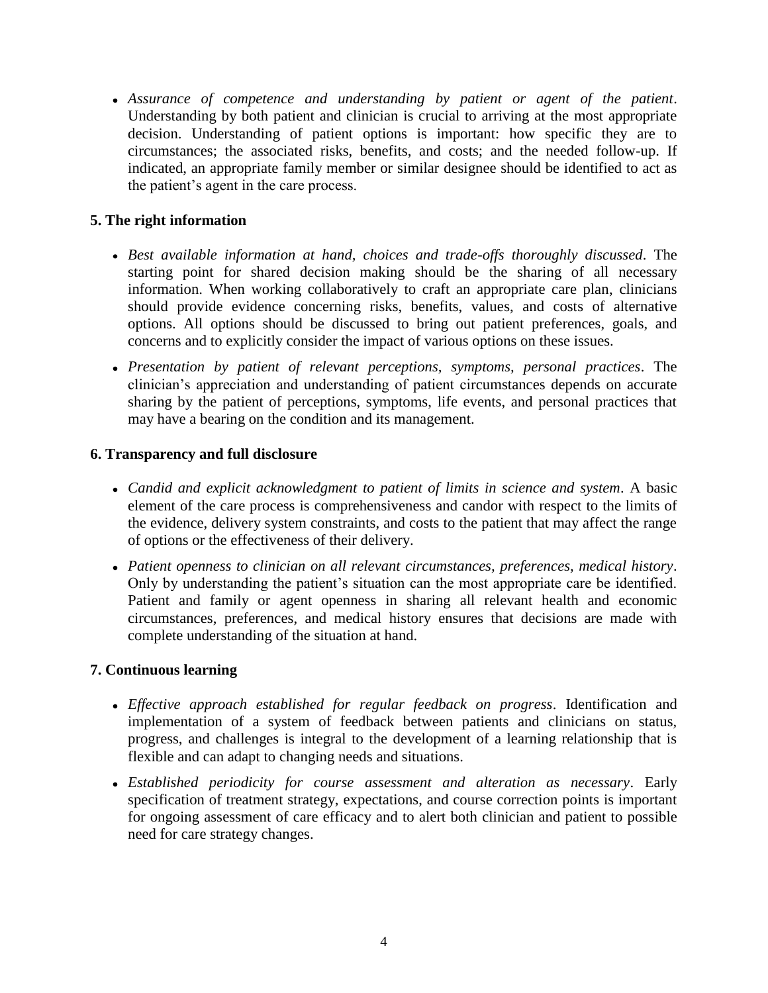*Assurance of competence and understanding by patient or agent of the patient*. Understanding by both patient and clinician is crucial to arriving at the most appropriate decision. Understanding of patient options is important: how specific they are to circumstances; the associated risks, benefits, and costs; and the needed follow-up. If indicated, an appropriate family member or similar designee should be identified to act as the patient's agent in the care process.

## **5. The right information**

- *Best available information at hand, choices and trade-offs thoroughly discussed*. The starting point for shared decision making should be the sharing of all necessary information. When working collaboratively to craft an appropriate care plan, clinicians should provide evidence concerning risks, benefits, values, and costs of alternative options. All options should be discussed to bring out patient preferences, goals, and concerns and to explicitly consider the impact of various options on these issues.
- *Presentation by patient of relevant perceptions, symptoms, personal practices*. The clinician's appreciation and understanding of patient circumstances depends on accurate sharing by the patient of perceptions, symptoms, life events, and personal practices that may have a bearing on the condition and its management.

## **6. Transparency and full disclosure**

- *Candid and explicit acknowledgment to patient of limits in science and system*. A basic element of the care process is comprehensiveness and candor with respect to the limits of the evidence, delivery system constraints, and costs to the patient that may affect the range of options or the effectiveness of their delivery.
- *Patient openness to clinician on all relevant circumstances, preferences, medical history*. Only by understanding the patient's situation can the most appropriate care be identified. Patient and family or agent openness in sharing all relevant health and economic circumstances, preferences, and medical history ensures that decisions are made with complete understanding of the situation at hand.

## **7. Continuous learning**

- *Effective approach established for regular feedback on progress*. Identification and implementation of a system of feedback between patients and clinicians on status, progress, and challenges is integral to the development of a learning relationship that is flexible and can adapt to changing needs and situations.
- *Established periodicity for course assessment and alteration as necessary*. Early specification of treatment strategy, expectations, and course correction points is important for ongoing assessment of care efficacy and to alert both clinician and patient to possible need for care strategy changes.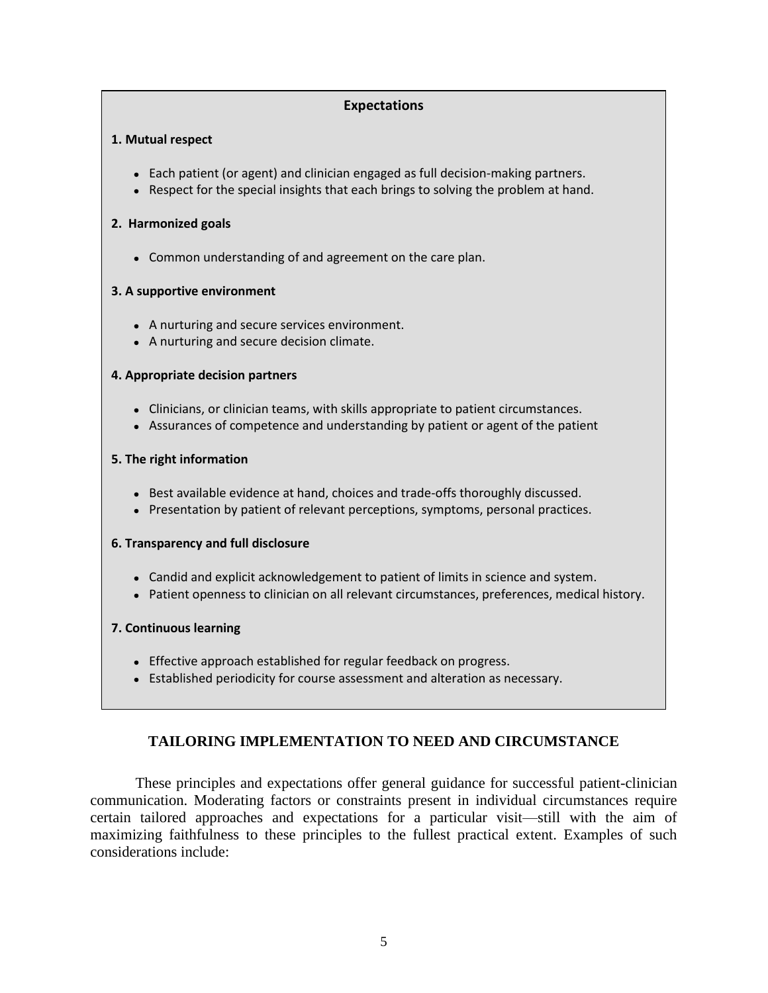#### **Expectations**

#### **1. Mutual respect**

- Each patient (or agent) and clinician engaged as full decision-making partners.
- Respect for the special insights that each brings to solving the problem at hand.

#### **2. Harmonized goals**

Common understanding of and agreement on the care plan.

#### **3. A supportive environment**

- A nurturing and secure services environment.
- A nurturing and secure decision climate.

#### **4. Appropriate decision partners**

- Clinicians, or clinician teams, with skills appropriate to patient circumstances.
- Assurances of competence and understanding by patient or agent of the patient

#### **5. The right information**

- Best available evidence at hand, choices and trade-offs thoroughly discussed.
- Presentation by patient of relevant perceptions, symptoms, personal practices.

#### **6. Transparency and full disclosure**

- Candid and explicit acknowledgement to patient of limits in science and system.
- Patient openness to clinician on all relevant circumstances, preferences, medical history.

#### **7. Continuous learning**

- Effective approach established for regular feedback on progress.
- Established periodicity for course assessment and alteration as necessary.

## **TAILORING IMPLEMENTATION TO NEED AND CIRCUMSTANCE**

These principles and expectations offer general guidance for successful patient-clinician communication. Moderating factors or constraints present in individual circumstances require certain tailored approaches and expectations for a particular visit—still with the aim of maximizing faithfulness to these principles to the fullest practical extent. Examples of such considerations include: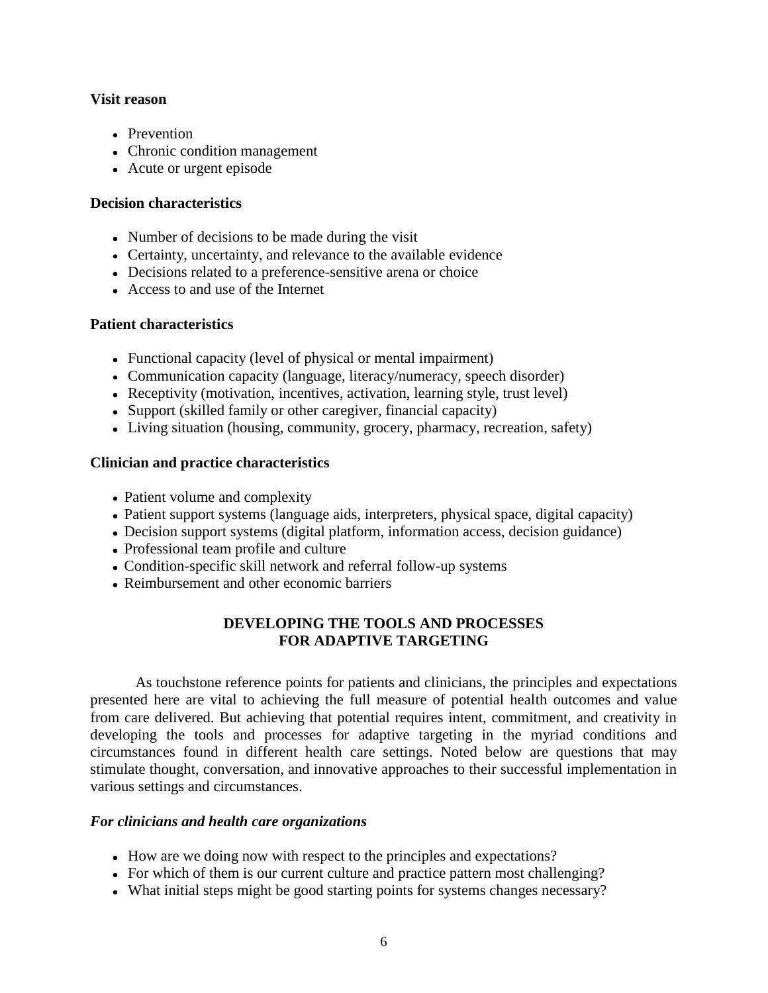#### **Visit reason**

- Prevention
- Chronic condition management
- Acute or urgent episode

## **Decision characteristics**

- Number of decisions to be made during the visit
- Certainty, uncertainty, and relevance to the available evidence
- Decisions related to a preference-sensitive arena or choice
- Access to and use of the Internet

## **Patient characteristics**

- Functional capacity (level of physical or mental impairment)
- Communication capacity (language, literacy/numeracy, speech disorder)
- Receptivity (motivation, incentives, activation, learning style, trust level)
- Support (skilled family or other caregiver, financial capacity)
- Living situation (housing, community, grocery, pharmacy, recreation, safety)

## **Clinician and practice characteristics**

- Patient volume and complexity
- Patient support systems (language aids, interpreters, physical space, digital capacity)
- Decision support systems (digital platform, information access, decision guidance)
- Professional team profile and culture
- Condition-specific skill network and referral follow-up systems
- Reimbursement and other economic barriers

## **DEVELOPING THE TOOLS AND PROCESSES FOR ADAPTIVE TARGETING**

As touchstone reference points for patients and clinicians, the principles and expectations presented here are vital to achieving the full measure of potential health outcomes and value from care delivered. But achieving that potential requires intent, commitment, and creativity in developing the tools and processes for adaptive targeting in the myriad conditions and circumstances found in different health care settings. Noted below are questions that may stimulate thought, conversation, and innovative approaches to their successful implementation in various settings and circumstances.

## *For clinicians and health care organizations*

- How are we doing now with respect to the principles and expectations?
- For which of them is our current culture and practice pattern most challenging?
- What initial steps might be good starting points for systems changes necessary?